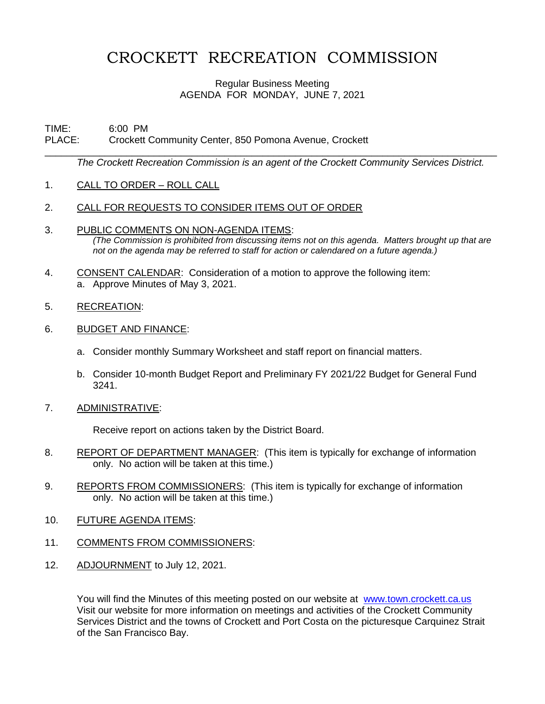## CROCKETT RECREATION COMMISSION

## Regular Business Meeting AGENDA FOR MONDAY, JUNE 7, 2021

## TIME: 6:00 PM PLACE: Crockett Community Center, 850 Pomona Avenue, Crockett

*The Crockett Recreation Commission is an agent of the Crockett Community Services District.* 

\_\_\_\_\_\_\_\_\_\_\_\_\_\_\_\_\_\_\_\_\_\_\_\_\_\_\_\_\_\_\_\_\_\_\_\_\_\_\_\_\_\_\_\_\_\_\_\_\_\_\_\_\_\_\_\_\_\_\_\_\_\_\_\_\_\_\_\_\_\_\_\_\_\_\_\_\_\_\_\_\_\_\_

- 1. CALL TO ORDER ROLL CALL
- 2. CALL FOR REQUESTS TO CONSIDER ITEMS OUT OF ORDER
- 3. PUBLIC COMMENTS ON NON-AGENDA ITEMS: *(The Commission is prohibited from discussing items not on this agenda. Matters brought up that are not on the agenda may be referred to staff for action or calendared on a future agenda.)*
- 4. CONSENT CALENDAR: Consideration of a motion to approve the following item: a. Approve Minutes of May 3, 2021.
- 5. RECREATION:
- 6. BUDGET AND FINANCE:
	- a. Consider monthly Summary Worksheet and staff report on financial matters.
	- b. Consider 10-month Budget Report and Preliminary FY 2021/22 Budget for General Fund 3241.
- 7. ADMINISTRATIVE:

Receive report on actions taken by the District Board.

- 8. REPORT OF DEPARTMENT MANAGER: (This item is typically for exchange of information only. No action will be taken at this time.)
- 9. REPORTS FROM COMMISSIONERS: (This item is typically for exchange of information only. No action will be taken at this time.)
- 10. FUTURE AGENDA ITEMS:
- 11. COMMENTS FROM COMMISSIONERS:
- 12. ADJOURNMENT to July 12, 2021.

You will find the Minutes of this meeting posted on our website at [www.town.crockett.ca.us](http://www.town.crockett.ca.us/)  Visit our website for more information on meetings and activities of the Crockett Community Services District and the towns of Crockett and Port Costa on the picturesque Carquinez Strait of the San Francisco Bay.